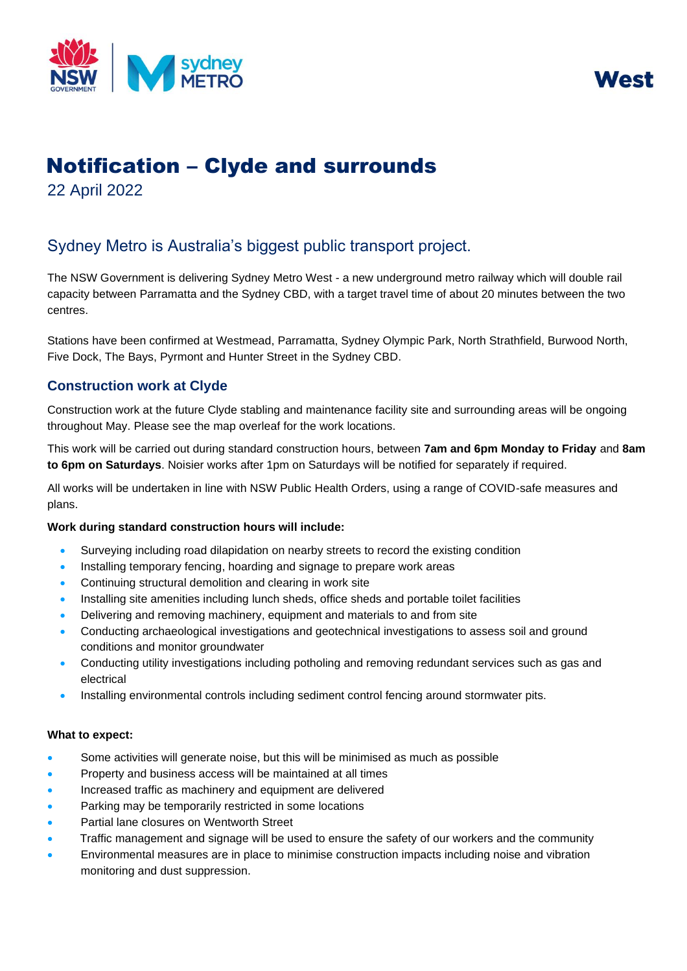



# Notification – Clyde and surrounds

22 April 2022

## Sydney Metro is Australia's biggest public transport project.

The NSW Government is delivering Sydney Metro West - a new underground metro railway which will double rail capacity between Parramatta and the Sydney CBD, with a target travel time of about 20 minutes between the two centres.

Stations have been confirmed at Westmead, Parramatta, Sydney Olympic Park, North Strathfield, Burwood North, Five Dock, The Bays, Pyrmont and Hunter Street in the Sydney CBD.

### **Construction work at Clyde**

Construction work at the future Clyde stabling and maintenance facility site and surrounding areas will be ongoing throughout May. Please see the map overleaf for the work locations.

This work will be carried out during standard construction hours, between **7am and 6pm Monday to Friday** and **8am to 6pm on Saturdays**. Noisier works after 1pm on Saturdays will be notified for separately if required.

All works will be undertaken in line with NSW Public Health Orders, using a range of COVID-safe measures and plans.

#### **Work during standard construction hours will include:**

- Surveying including road dilapidation on nearby streets to record the existing condition
- Installing temporary fencing, hoarding and signage to prepare work areas
- Continuing structural demolition and clearing in work site
- Installing site amenities including lunch sheds, office sheds and portable toilet facilities
- Delivering and removing machinery, equipment and materials to and from site
- Conducting archaeological investigations and geotechnical investigations to assess soil and ground conditions and monitor groundwater
- Conducting utility investigations including potholing and removing redundant services such as gas and electrical
- Installing environmental controls including sediment control fencing around stormwater pits.

#### **What to expect:**

- Some activities will generate noise, but this will be minimised as much as possible
- Property and business access will be maintained at all times
- Increased traffic as machinery and equipment are delivered
- Parking may be temporarily restricted in some locations
- Partial lane closures on Wentworth Street
- Traffic management and signage will be used to ensure the safety of our workers and the community
- Environmental measures are in place to minimise construction impacts including noise and vibration monitoring and dust suppression.